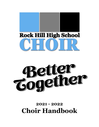



# **2021 - 2022 Choir Handbook**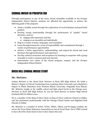# CHORAL MUSIC IN PROSPER ISD

Through participation in any of the many choral ensembles available in the Prosper Independent School District, students are afforded the opportunity to achieve the following goals of the program:

- Attain a healthy sound through the exploration of vocal technique and good body position
- Develop strong musicianship through the performance of "quality" choral literature, such as:
	- singing with expression and line
	- singing as an ensemble and individually
- Sing in a variety of styles, languages, and ensembles
- Learn through teamwork a sense of responsibility and commitment through a variety of performance opportunities
- Achieve a better appreciation, understanding, and respect for choral and vocal literature through performance and experience
- Develop cultural awareness and acceptance by learning to cooperate with a group of people to reach a common goal and outcome
- Demonstrate core values of the choral program, campus, and the Prosper Independent School District

# ROCK HILL CHORAL MUSIC STAFF

#### **Mr. McGuire**

Joshua McGuire is the Head Choir Director at Rock Hill High School. He holds a Master's Degree in Choral Conducting from Louisiana State University and a Bachelor's Degree in Music Education from Western Illinois University. Originally from Illinois, Mr. McGuire taught at the middle school and high school levels in the Chicago area. Previous to Rock Hill High School, he was the head director at Sachse High School (Garland ISD) for fifteen years.

He is a member of the King of Glory Choir at King of Glory Lutheran Church in Dallas, and has performed professionally with the Chicago Choral Artists and Highland Park Chorale in Dallas.

Mr. McGuire is a member of ACDA, TCDA, TMEA, TMAA, and Pi Kappa Lambda. He serves the Texas Music Educators Association as Area B Vocal Chair. He is VERY excited to have all of the choirs back in face to face classes this year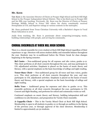#### **Mr. Keen**

Tate Keen is the Associate Director of Choirs at Prosper High School and Rock Hill High School in the Prosper Independent School District. This is his third year in Prosper ISD and his fifth year teaching. Previously, Mr. Keen was the Director of Choirs at Pioneer Heritage Middle School in Frisco ISD where his choirs consistently received Sweepstakes at UIL and Superior ratings at various contests in the metroplex.

Mr. Keen graduated from Texas Christian University with a Bachelor's degree in Vocal Music Education in 2016.

Aside from teaching, Mr. Keen is passionate about composing/arranging music, building relationships with people, and serving his community.

### CHORAL ENSEMBLES AT ROCK HILL HIGH SCHOOL

There is a choral ensemble for every student at Rock Hill High School regardless of their experience or age. Directors will assess student ability and ensemble balance throughout the year. Students may be re-auditioned before the Winter break for class changes beginning in the Spring semester.

**Bel Canto –** Non-auditioned group for all soprano and alto voices, grades 9-12. This choir performs at all choir concerts throughout the year, and may participate in UIL adjudicated activities. Emphasis is placed on the basics of music theory and literacy, with a special emphasis on the basic knowledge of solfege and sight-reading.

**Tenor-Bass Choir –** Non-auditioned group for all tenor and bass voices, grades 9-12. This choir performs at all choir concerts throughout the year, and may participate in UIL adjudicated activities. Emphasis is placed on the basics of music theory and literacy, with a special emphasis on the basic knowledge of solfege and sight-reading.

**Bella Voce –** Auditioned group for sopranos and altos in grades 10-12. This ensemble performs at all choir concerts throughout the year, participates in UIL Concert and Sight Reading, and performs for school and community events as well.

Continued emphasis on music theory and literacy, building independent skill and confidence in solo literature, and preparation for Varsity Choir ensemble.

**A Cappella Choir –** This is the Varsity Mixed Choir at Rock Hill High School. Membership is open to all students in grades 10-12 through an audition in the Spring of the previous year, or through approval of the choir directors. Membership is limited to approximately 40-50 students.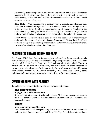Music study includes exploration and performance of four-part music and advanced repertoire in all styles and time periods, along with a continued emphasis on sight-reading, solfege, and rhythm skills. This ensemble participates in all UIL music contests and tours each spring.

**Blue Note –** This ensemble is a contemporary a cappella and chamber choir ensemble. Membership is open to all choir students, grades 10-12, through audition in the previous Spring (limited to approximately 14-18 students). Members of this ensemble display the highest levels of musicianship in sight-reading, improvisation, and showmanship. Some rehearsals are held after school throughout the school year.

**Hawk Corp –** This ensemble is open to tenor and bass choir members through audition in the previous Spring. Members of this ensemble display the highest levels of musicianship in sight-reading, improvisation, and showmanship. Some rehearsals are held after school throughout the school year.

# PROSPER ISD PRIVATE LESSON PROGRAM

The Prosper ISD Private Lesson Program gives each student the opportunity to take voice lessons at school for a reasonable fee of \$22.50 per 30-minute lesson. The lessons are scheduled either during class, over the lunch period, or after school. Times are limited and will be filled on a first-come, first-served basis. All choral students are encouraged to take advantage of this opportunity. In each lesson, students will practice sight-reading, prepare for All-Region auditions, PISD Vocal Solo Festival, choral auditions, and Voice Recitals. Contact your choir director for more information.

# COMMUNICATION WITH PARENTS

Several means of communication will be used throughout the year.

#### Rock Hill Choir Website

#### **http://www.rockhillchoir.com**

Bookmark this site on your favorite web browser. All the news you can use, access to the 21-22 choir calendar, and communication to your choir choir directors and booster club board.

#### **CHARMS**

#### **http://www.charmsoffice.com**

The Charms web-based management system is a means for parents and students to maintain their financial and personal Rock Hill High School choir information at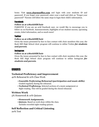home. Visit **www.charmsoffice.com** and login with your students ID and password. If you forget your password, enter your e-mail and click on "Forgot your password?" Parents will follow the same steps to login their child's information.

#### Facebook

#### **Follow us at @RockHillChoir**

PARENTS! If you are an avid Facebook user, we would like to encourage you to follow us on Facebook. Announcements, highlights of our student success, upcoming events, ticket information, and so much more!

#### **Twitter**

#### **Follow us at @RockHillChoir**

Given the issues presented by face to face contact with choir members this year, the Rock Hill High School choir program will continue to utilize Twitter *for students and parents*.

#### Instagram

#### **Follow us at @RockHillChoir**

Given the issues presented by face to face contact with choir members this year, the Rock Hill High School choir program will continue to utilize Instagram *for students and parents*.

# GRADES

#### **Technical Proficiency and Improvement**

40% Rehearsal & 10% Class Work

- *• Ensemble Performing/Rehearsal (participation and music skills).* Graded regularly during the rehearsal.
- *• Technical Proficiency.* Selected sections of a music assignment or Sight-reading. This will be graded during the choral rehearsal.

#### **Written Work**

5% Homework & 10% Quizzes

- *• Homework Assignments.*
- *• Quizzes.* Based on work done within the class. Includes recorded sight-reading quizzes.

#### **Self Reflection and Critical Listening**

20% Test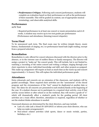*• Performance Critique.* Following each concert/performance, students will complete an evaluation based on their performance as well as the performance of their ensemble. This will be graded on content, use of appropriate musical terminology, and observable analytical skills.

#### **Performance**

20% Test

• Required performance in at least one concert or music presentation each 6-8 weeks. A student may receive up to two test grades per performance (Performance and attendance, listening/concert etiquette).

#### **Term Final**

To be announced each term. The final exam may be written (simple theory, music history, fundamentals of singing, etc.) or performance based task (sight reading, excerpt from a prepared selection).

#### **Remediation**

Remediation is only offered for concert absences discussed with the director prior to the absence, or in the extreme case of sudden illness or family emergency. The director will assign a project to "make-up" the concert grade. This will include, but is not limited to, watching a recording of the entire concert and writing a critique, singing through your choir repertoire to show individual knowledge and skill, and other projects as assigned. This make-up assignment will require at least as much time as the warm-up and concert (approximately 1 ½ hours). This will replace the individual performance grade.

#### **Attendance**

Extra rehearsals and concerts are an extension of the classroom, and students will be graded accordingly. These required choir activities are the "assessment" of the choral program and the circumstances of the "test" cannot be duplicated at another date or time. The dates for all concerts are presented to each student/family at the beginning of the year. If a student chooses not to participate in a required choir activity, even if that activity occurs before or after school or on the weekend, they will receive a grade of "0" which will dramatically affect a student's grade for the grading period. All choir activities are a team effort; therefore, attendance is required, regardless of whether or not the student thinks attendance is needed.

Unexcused absences are determined by the choir directors, and may include:

- Lack of a ride (ask a friend IN ADVANCE or inform your choir director, who can help you make arrangements!)
- Non-school related activities (club sports, dance or music recitals, parties, birthdays, etc.)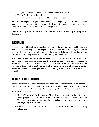- Job (having to work is NOT considered an excused absence)
- Trip or family planned activity
- Other circumstances as determined by the choir directors

Failure to participate in required choir activities will negatively affect a student's grade, possibly causing the student to fail choir and will also affect a student's future placement and participation in ensembles at Rock Hill High School.

#### **Grades are updated frequently and are available on-line by logging in to Skyward.**

# ELIGIBILITY

All choral ensembles adhere to the eligibility rules and regulations as stated by TEA and Prosper ISD. To be eligible to participate for a nine weeks period following the initial six weeks of the school year, a student must not have a recorded average lower than 70 on a scale of 0 to 100 in any course for that proceeding nine weeks period.

Any student whose recorded grade average in any course is lower than 70 at the end of a nine weeks period shall be suspended from participation during the succeeding six weeks period. However, a student may regain eligibility seven calendar days after the succeeding three-week evaluation period if the student is passing all courses on the last day of the three-school-week period (this includes a grade of at least a 70 on a scale of 0 to 100).

# STUDENT EXPECTATIONS

Your choral ensemble's performance is directly related to your rehearsal. Participation is a factor in determining the quality of the finished product. Students must always work to focus with mind and body. The following are expectations designed to assist us all as we strive for excellence.

- **Be On Time and Be Prepared!** All students are expected to be in the choir room, prepared for class on the risers with binder and pencil, prior to the bell. Trips to the restroom, water fountain, and lockers are to be taken care of prior to the beginning of rehearsal.
- Cell phone use is at the discretion of the directors in the choir room during rehearsals.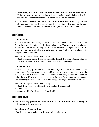- **Absolutely No Food, Gum, or Drinks are allowed in the Choir Room.** Failure to observe this expectation will result in choir service being assigned to the student – Water bottles with a lid or cap are the only exceptions.
- **The Choir Director's Office is Off Limits to Students.** This also goes for all storage rooms, the practice rooms, and the choir library. The piano in the choir room, as well as choir room stereo and all computers, are not for student use.

### UNIFORMS

#### **Concert Dress**

A black dress and uniform bag (\$5.00 replacement fee) will be provided by the SHS Choral Program. The total cost of this dress is \$75.00. This amount will be charged to the student at the end of the year if the dress has been destroyed or lost. **Do not make any permanent alterations to your dress.** Students will be charged for any permanent alterations.

Students are responsible for the following:

• Black character shoes (these are available through the Choir Booster Club for \$35.00). Dresses are fitted and hemmed with this 2" shoe height.

#### **Concert Tuxedo**

A black tuxedo (\$30.00 for the pants and \$65.00 for the coat), bow tie and cummerbund (\$10.00 together), and uniform bag (\$5.00 replacement fee) will be provided by Rock Hill High School. This amount will be charged to the student at the end of the year if the tuxedo has been destroyed or lost. Do not make any permanent alterations to your tuxedo. Students will be charged for any permanent alterations.

Students are responsible for the following:

- Black dress shoes (No athletic shoes or boots will be accepted)
- Black socks
- Standard white "lay down collar" tuxedo shirt

# UNIFORM CARE

**Do not make any permanent alterations to your uniform.** The following are suggestions to care for dresses and tuxedos.

#### **Dry Cleaning Your Uniform**

• One dry cleaning is included with each student's choir fees.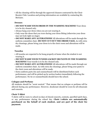• All dry cleaning will be through the approved cleaners contracted by the Choir Booster Club. Location and pricing information are available by contacting Mr. McGuire.

#### **Dresses**

- **DO NOT WASH YOUR DRESS IN THE WASHING MACHINE!** Your dress is to be dry cleaned only.
- Always hang your dress when you are not wearing it.
- Only wear the shoes that you wore during your dress fitting (otherwise your dress may not look right on stage).
- **DO NOT MAKE ANY ALTERATIONS!** All alterations will be made through the uniform committee chair. **DO NOT CUT OUT THE DRESS TAGS.** As with extra dry cleanings, please bring your dress in to the choir room and alterations will be made.

#### **Tuxedos**

- All tuxedos are expected to be hung properly at home when the student is not wearing it.
- **DO NOT WASH YOUR TUXEDO JACKET OR PANTS IN THE WASHING MACHINE!** Your tuxedo is to be dry cleaned only.
- **DO NOT MAKE ANY ALTERATIONS!** All alterations will be made through our uniform committee chair. As with extra dry cleanings, please bring your pants to the choir room and alterations will be made.
- Extra uniform parts (tie and cummerbund) will be distributed before each performance, and will be picked-up by section leaders immediately following the performance. No tie or cummerbunds should leave the school.

#### **Cologne and Perfume**

All students should be "scent neutral." That means that no cologne or perfume will be allowed during any performance. However, deodorant should be worn for all rehearsals and concerts.

#### **Choir T-Shirt**

T-shirts will be worn to school on days of choral concerts, contests, specified spirit days, or any performance during the school day. **Choir t-shirts are automatically purchased on the behalf of each student, and are part of the choir fee payment.**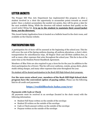# LETTER JACKETS

The Prosper ISD Fine Arts Department has implemented this program to allow a student involved in a choir the opportunity to accumulate points towards an award jacket. Once a student accumulates the needed 100 points, they will be given a date for the next available fitting. While the directors will submit students that qualify on the award jacket fitting list, **it is up to the student to maintain their award jacket form, not the directors.**

This Award Jacket Application form is located on a bulletin board in the choir room, and available on the Charms website.

# PARTICIPATION FEES

A participation fee of \$100 will be assessed at the beginning of the school year. This fee will cover the cost of the Spring uniform cleaning, all uniform alterations, a choir t-shirt, transportation for miscellaneous trips, All Region Choir and All-State audition fees, as well as many other expenses that arise throughout the school year. This fee is due at the same time as the Student/Parent Handbook Agreement.

Members of Blue Note are also required to pay a \$100 fee for the year (in addition to the choir participation fee of \$100). This fee will cover uniforms, rentals, group shirts, photo studio sitting charges, and many other expenses that arise throughout the year.

No student will be denied participation in the Rock Hill High School choir program.

**For the 2021-2022 school year, members of the Rock Hill High School choir program have the convenient option of paying online.** Please use the following link for all credit card payments:

#### **<https://rockhillhschoir.ludus.com/9727>**

#### **Payments with Cash or Check**

All payments must be received in an envelope (located in the choir room) with the following information:

- Student Full Name written on the outside of the envelope
- Student ID written on the outside of the envelope
- Cash or Check amount written on the outside of the envelope
- Purpose written on the outside of the envelope